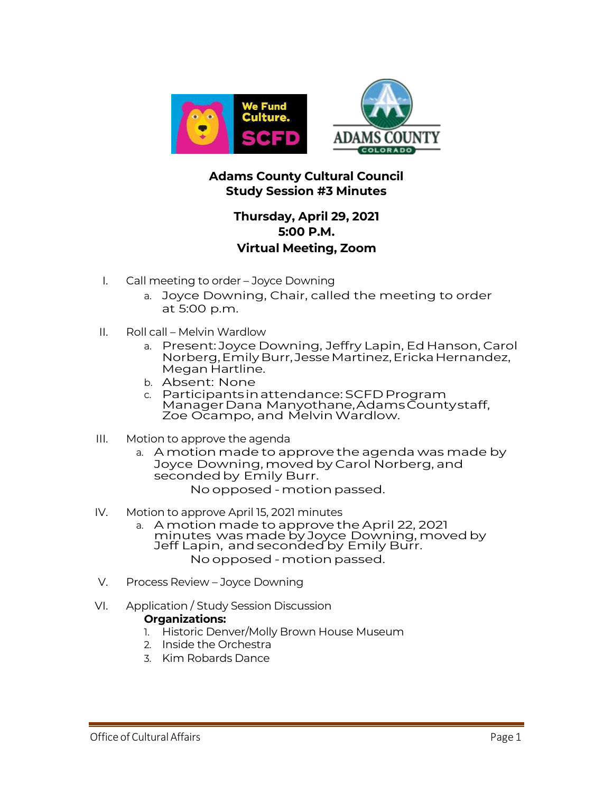

## **Adams County Cultural Council Study Session #3 Minutes**

## **Thursday, April 29, 2021 5:00 P.M. Virtual Meeting, Zoom**

- I. Call meeting to order Joyce Downing
	- a. Joyce Downing, Chair, called the meeting to order at 5:00 p.m.
- II. Roll call Melvin Wardlow
	- a. Present: Joyce Downing, Jeffry Lapin, Ed Hanson, Carol Norberg,EmilyBurr, JesseMartinez,ErickaHernandez, Megan Hartline.
	- b. Absent: None
	- c. Participantsinattendance: SCFD Program ManagerDana Manyothane,AdamsCountystaff, Zoe Ocampo, and MelvinWardlow.
- III. Motion to approve the agenda
	- a. A motion made to approve the agenda was made by Joyce Downing, moved by Carol Norberg, and seconded by Emily Burr. No opposed - motion passed.
- IV. Motion to approve April 15, 2021 minutes
	- a. A motion made to approve the April 22, 2021 minutes was made by Joyce Downing, movedby Jeff Lapin, andseconded by Emily Burr. No opposed - motion passed.
- V. Process Review Joyce Downing
- VI. Application / Study Session Discussion

## **Organizations:**

- 1. Historic Denver/Molly Brown House Museum
- 2. Inside the Orchestra
- 3. Kim Robards Dance